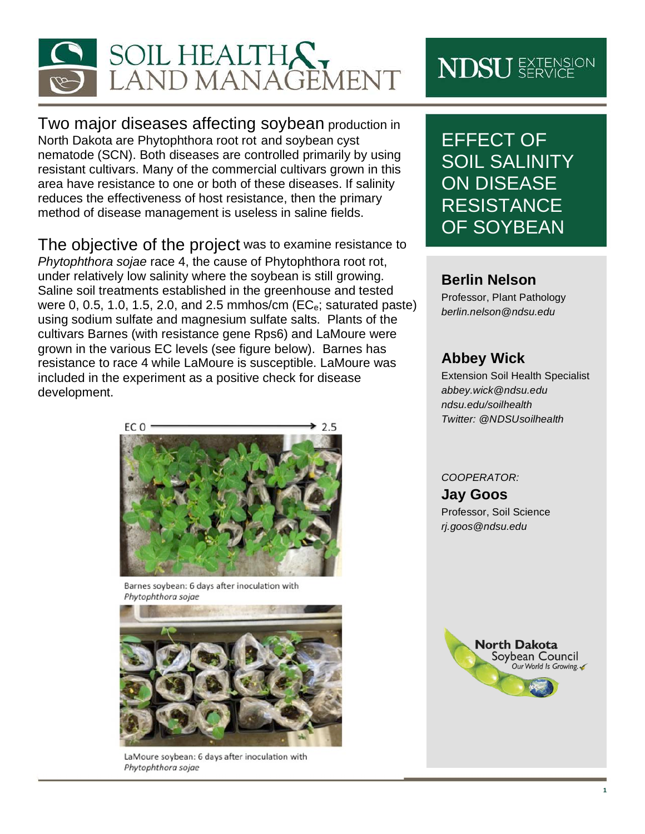

Two major diseases affecting soybean production in North Dakota are Phytophthora root rot and soybean cyst nematode (SCN). Both diseases are controlled primarily by using resistant cultivars. Many of the commercial cultivars grown in this area have resistance to one or both of these diseases. If salinity reduces the effectiveness of host resistance, then the primary method of disease management is useless in saline fields.

The objective of the project was to examine resistance to *Phytophthora sojae* race 4, the cause of Phytophthora root rot, under relatively low salinity where the soybean is still growing. Saline soil treatments established in the greenhouse and tested were 0, 0.5, 1.0, 1.5, 2.0, and 2.5 mmhos/cm ( $EC_e$ ; saturated paste) using sodium sulfate and magnesium sulfate salts. Plants of the cultivars Barnes (with resistance gene Rps6) and LaMoure were grown in the various EC levels (see figure below). Barnes has resistance to race 4 while LaMoure is susceptible. LaMoure was included in the experiment as a positive check for disease development.



Barnes soybean: 6 days after inoculation with Phytophthora sojae



LaMoure soybean: 6 days after inoculation with Phytophthora sojae

# **NDSU** EXTENSION

EFFECT OF SOIL SALINITY ON DISEASE **RESISTANCE** OF SOYBEAN

#### **Berlin Nelson**

Professor, Plant Pathology *berlin.nelson@ndsu.edu*

### **Abbey Wick**

Extension Soil Health Specialist *abbey.wick@ndsu.edu ndsu.edu/soilhealth Twitter: @NDSUsoilhealth*

#### *COOPERATOR:*

**Jay Goos** Professor, Soil Science *rj.goos@ndsu.edu*